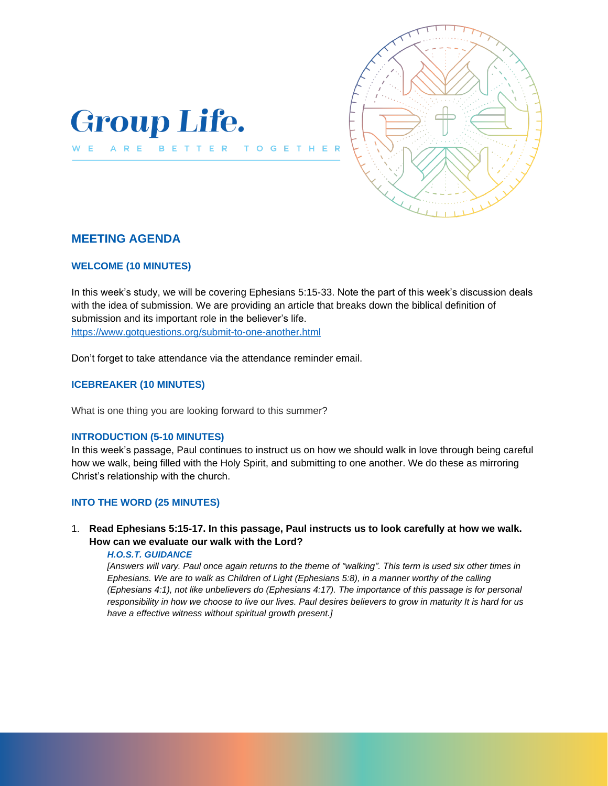



# **MEETING AGENDA**

### **WELCOME (10 MINUTES)**

In this week's study, we will be covering Ephesians 5:15-33. Note the part of this week's discussion deals with the idea of submission. We are providing an article that breaks down the biblical definition of submission and its important role in the believer's life. <https://www.gotquestions.org/submit-to-one-another.html>

Don't forget to take attendance via the attendance reminder email.

T O

 $\mathbf{G}$ E  $\mathbf{T}$ 

# **ICEBREAKER (10 MINUTES)**

What is one thing you are looking forward to this summer?

## **INTRODUCTION (5-10 MINUTES)**

In this week's passage, Paul continues to instruct us on how we should walk in love through being careful how we walk, being filled with the Holy Spirit, and submitting to one another. We do these as mirroring Christ's relationship with the church.

## **INTO THE WORD (25 MINUTES)**

# 1. **Read Ephesians 5:15-17. In this passage, Paul instructs us to look carefully at how we walk. How can we evaluate our walk with the Lord?**

### *H.O.S.T. GUIDANCE*

*[Answers will vary. Paul once again returns to the theme of "walking". This term is used six other times in Ephesians. We are to walk as Children of Light (Ephesians 5:8), in a manner worthy of the calling (Ephesians 4:1), not like unbelievers do (Ephesians 4:17). The importance of this passage is for personal responsibility in how we choose to live our lives. Paul desires believers to grow in maturity It is hard for us have a effective witness without spiritual growth present.]*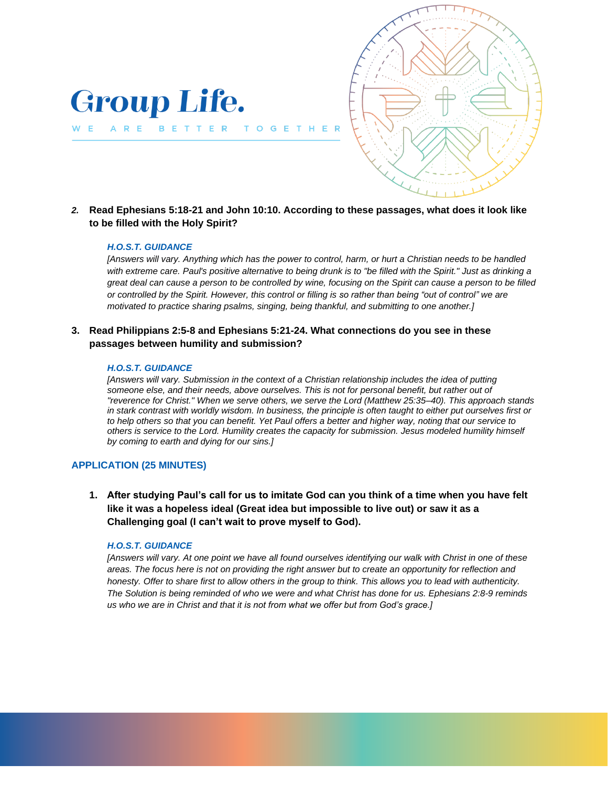

*2.* **Read Ephesians 5:18-21 and John 10:10. According to these passages, what does it look like to be filled with the Holy Spirit?**

G

#### *H.O.S.T. GUIDANCE*

**Group Life.** 

BETTER TO

ARE

W E

*[Answers will vary. Anything which has the power to control, harm, or hurt a Christian needs to be handled with extreme care. Paul's positive alternative to being drunk is to "be filled with the Spirit." Just as drinking a great deal can cause a person to be controlled by wine, focusing on the Spirit can cause a person to be filled or controlled by the Spirit. However, this control or filling is so rather than being "out of control" we are motivated to practice sharing psalms, singing, being thankful, and submitting to one another.]*

## **3. Read Philippians 2:5-8 and Ephesians 5:21-24. What connections do you see in these passages between humility and submission?**

#### *H.O.S.T. GUIDANCE*

*[Answers will vary. Submission in the context of a Christian relationship includes the idea of putting someone else, and their needs, above ourselves. This is not for personal benefit, but rather out of "reverence for Christ." When we serve others, we serve the Lord (Matthew 25:35–40). This approach stands in stark contrast with worldly wisdom. In business, the principle is often taught to either put ourselves first or to help others so that you can benefit. Yet Paul offers a better and higher way, noting that our service to others is service to the Lord. Humility creates the capacity for submission. Jesus modeled humility himself by coming to earth and dying for our sins.]*

#### **APPLICATION (25 MINUTES)**

**1. After studying Paul's call for us to imitate God can you think of a time when you have felt like it was a hopeless ideal (Great idea but impossible to live out) or saw it as a Challenging goal (I can't wait to prove myself to God).**

#### *H.O.S.T. GUIDANCE*

*[Answers will vary. At one point we have all found ourselves identifying our walk with Christ in one of these areas. The focus here is not on providing the right answer but to create an opportunity for reflection and honesty. Offer to share first to allow others in the group to think. This allows you to lead with authenticity. The Solution is being reminded of who we were and what Christ has done for us. Ephesians 2:8-9 reminds us who we are in Christ and that it is not from what we offer but from God's grace.]*